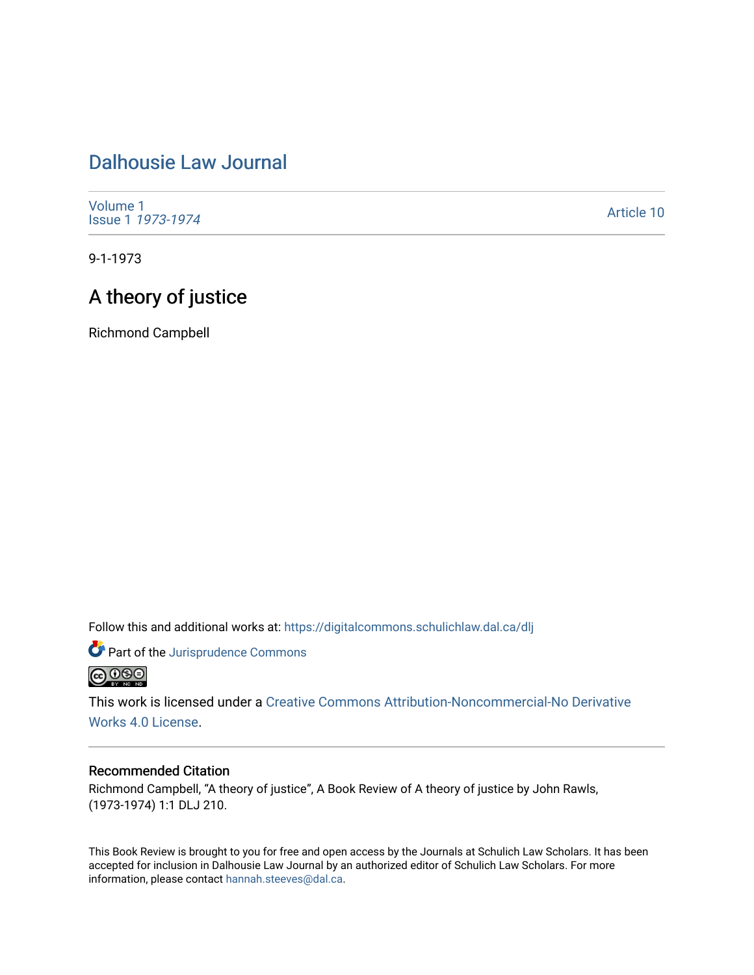## [Dalhousie Law Journal](https://digitalcommons.schulichlaw.dal.ca/dlj)

[Volume 1](https://digitalcommons.schulichlaw.dal.ca/dlj/vol1) [Issue 1](https://digitalcommons.schulichlaw.dal.ca/dlj/vol1/iss1) 1973-1974

[Article 10](https://digitalcommons.schulichlaw.dal.ca/dlj/vol1/iss1/10) 

9-1-1973

## A theory of justice

Richmond Campbell

Follow this and additional works at: [https://digitalcommons.schulichlaw.dal.ca/dlj](https://digitalcommons.schulichlaw.dal.ca/dlj?utm_source=digitalcommons.schulichlaw.dal.ca%2Fdlj%2Fvol1%2Fiss1%2F10&utm_medium=PDF&utm_campaign=PDFCoverPages) 

Part of the [Jurisprudence Commons](http://network.bepress.com/hgg/discipline/610?utm_source=digitalcommons.schulichlaw.dal.ca%2Fdlj%2Fvol1%2Fiss1%2F10&utm_medium=PDF&utm_campaign=PDFCoverPages) **@000** 

This work is licensed under a [Creative Commons Attribution-Noncommercial-No Derivative](https://creativecommons.org/licenses/by-nc-nd/4.0/)  [Works 4.0 License](https://creativecommons.org/licenses/by-nc-nd/4.0/).

## Recommended Citation

Richmond Campbell, "A theory of justice", A Book Review of A theory of justice by John Rawls, (1973-1974) 1:1 DLJ 210.

This Book Review is brought to you for free and open access by the Journals at Schulich Law Scholars. It has been accepted for inclusion in Dalhousie Law Journal by an authorized editor of Schulich Law Scholars. For more information, please contact [hannah.steeves@dal.ca](mailto:hannah.steeves@dal.ca).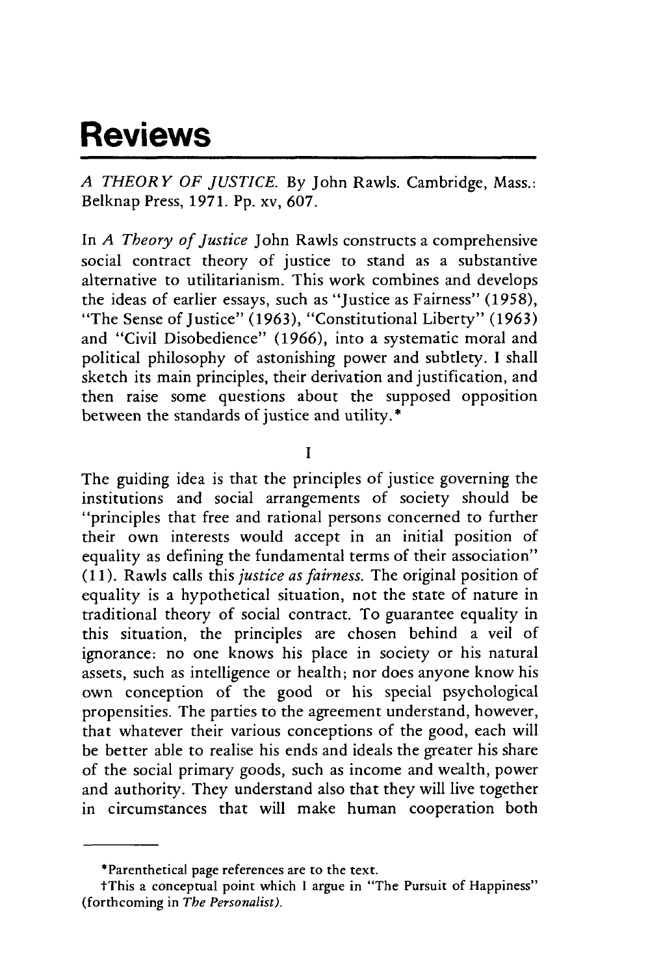## **Reviews**

*A THEORY OF JUSTICE.* By John Rawls. Cambridge, Mass.: Belknap Press, 1971. Pp. xv, 607.

In *A Theory of Justice* John Rawls constructs a comprehensive social contract theory of justice to stand as a substantive alternative to utilitarianism. This work combines and develops the ideas of earlier essays, such as "Justice as Fairness" (1958), "The Sense of Justice" (1963), "Constitutional Liberty" (1963) and "Civil Disobedience" (1966), into a systematic moral and political philosophy of astonishing power and subtlety. I shall sketch its main principles, their derivation and justification, and then raise some questions about the supposed opposition between the standards of justice and utility.\*

**I**

The guiding idea is that the principles of justice governing the institutions and social arrangements of society should be "principles that free and rational persons concerned to further their own interests would accept in an initial position of equality as defining the fundamental terms of their association" (1 1). Rawls calls this *justice as fairness.* The original position of equality is a hypothetical situation, not the state of nature in traditional theory of social contract. To guarantee equality in this situation, the principles are chosen behind a veil of ignorance: no one knows his place in society or his natural assets, such as intelligence or health; nor does anyone know his own conception of the good or his special psychological propensities. The parties to the agreement understand, however, that whatever their various conceptions of the good, each will be better able to realise his ends and ideals the greater his share of the social primary goods, such as income and wealth, power and authority. They understand also that they will live together in circumstances that will make human cooperation both

<sup>\*</sup>Parenthetical page references are to the text.

tThis a conceptual point which **I** argue in "The Pursuit of Happiness" (forthcoming in *The Personalist).*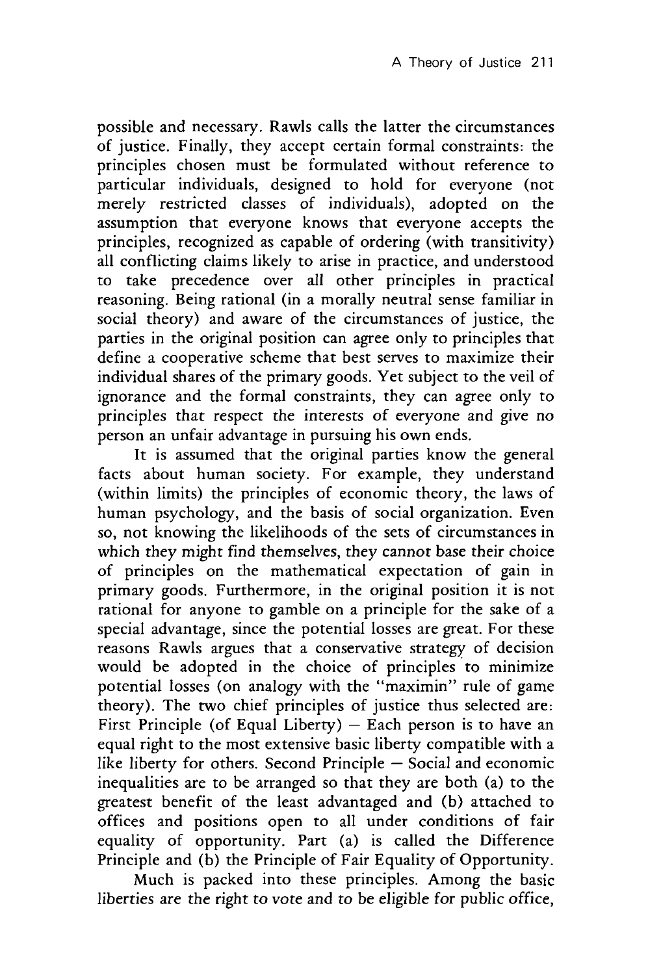possible and necessary. Rawls calls the latter the circumstances of justice. Finally, they accept certain formal constraints: the principles chosen must be formulated without reference to particular individuals, designed to hold for everyone (not merely restricted classes of individuals), adopted on the assumption that everyone knows that everyone accepts the principles, recognized as capable of ordering (with transitivity) all conflicting claims likely to arise in practice, and understood to take precedence over all other principles in practical reasoning. Being rational (in a morally neutral sense familiar in social theory) and aware of the circumstances of justice, the parties in the original position can agree only to principles that define a cooperative scheme that best serves to maximize their individual shares of the primary goods. Yet subject to the veil of ignorance and the formal constraints, they can agree only to principles that respect the interests of everyone and give no person an unfair advantage in pursuing his own ends.

It is assumed that the original parties know the general facts about human society. For example, they understand (within limits) the principles of economic theory, the laws of human psychology, and the basis of social organization. Even so, not knowing the likelihoods of the sets of circumstances in which they might find themselves, they cannot base their choice of principles on the mathematical expectation of gain in primary goods. Furthermore, in the original position it is not rational for anyone to gamble on a principle for the sake of a special advantage, since the potential losses are great. For these reasons Rawls argues that a conservative strategy of decision would be adopted in the choice of principles to minimize potential losses (on analogy with the "maximin" rule of game theory). The two chief principles of justice thus selected are: First Principle (of Equal Liberty)  $-$  Each person is to have an equal right to the most extensive basic liberty compatible with a like liberty for others. Second Principle  $-$  Social and economic inequalities are to be arranged so that they are both (a) to the greatest benefit of the least advantaged and (b) attached to offices and positions open to all under conditions of fair equality of opportunity. Part (a) is called the Difference Principle and (b) the Principle of Fair Equality of Opportunity.

Much is packed into these principles. Among the basic liberties are the right to vote and to be eligible for public office,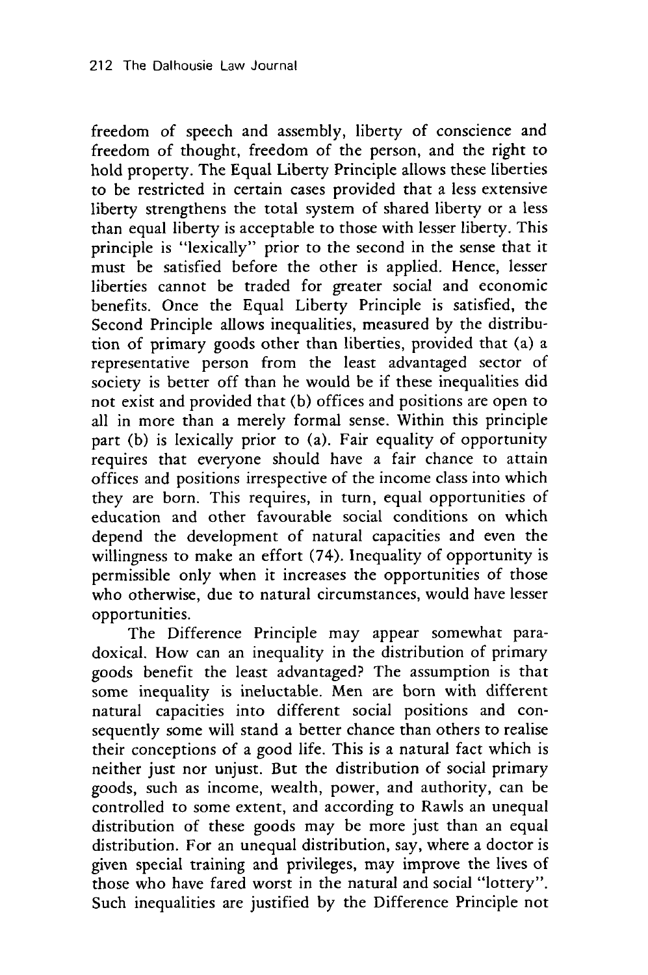freedom of speech and assembly, liberty of conscience and freedom of thought, freedom of the person, and the right to hold property. The Equal Liberty Principle allows these liberties to be restricted in certain cases provided that a less extensive liberty strengthens the total system of shared liberty or a less than equal liberty is acceptable to those with lesser liberty. This principle is "lexically" prior to the second in the sense that it must be satisfied before the other is applied. Hence, lesser liberties cannot be traded for greater social and economic benefits. Once the Equal Liberty Principle is satisfied, the Second Principle allows inequalities, measured by the distribution of primary goods other than liberties, provided that (a) a representative person from the least advantaged sector of society is better off than he would be if these inequalities did not exist and provided that (b) offices and positions are open to all in more than a merely formal sense. Within this principle part (b) is lexically prior to (a). Fair equality of opportunity requires that everyone should have a fair chance to attain offices and positions irrespective of the income class into which they are born. This requires, in turn, equal opportunities of education and other favourable social conditions on which depend the development of natural capacities and even the willingness to make an effort (74). Inequality of opportunity is permissible only when it increases the opportunities of those who otherwise, due to natural circumstances, would have lesser opportunities.

The Difference Principle may appear somewhat paradoxical. How can an inequality in the distribution of primary goods benefit the least advantaged? The assumption is that some inequality is ineluctable. Men are born with different natural capacities into different social positions and consequently some will stand a better chance than others to realise their conceptions of a good life. This is a natural fact which is neither just nor unjust. But the distribution of social primary goods, such as income, wealth, power, and authority, can be controlled to some extent, and according to Rawls an unequal distribution of these goods may be more just than an equal distribution. For an unequal distribution, say, where a doctor is given special training and privileges, may improve the lives of those who have fared worst in the natural and social "lottery". Such inequalities are justified by the Difference Principle not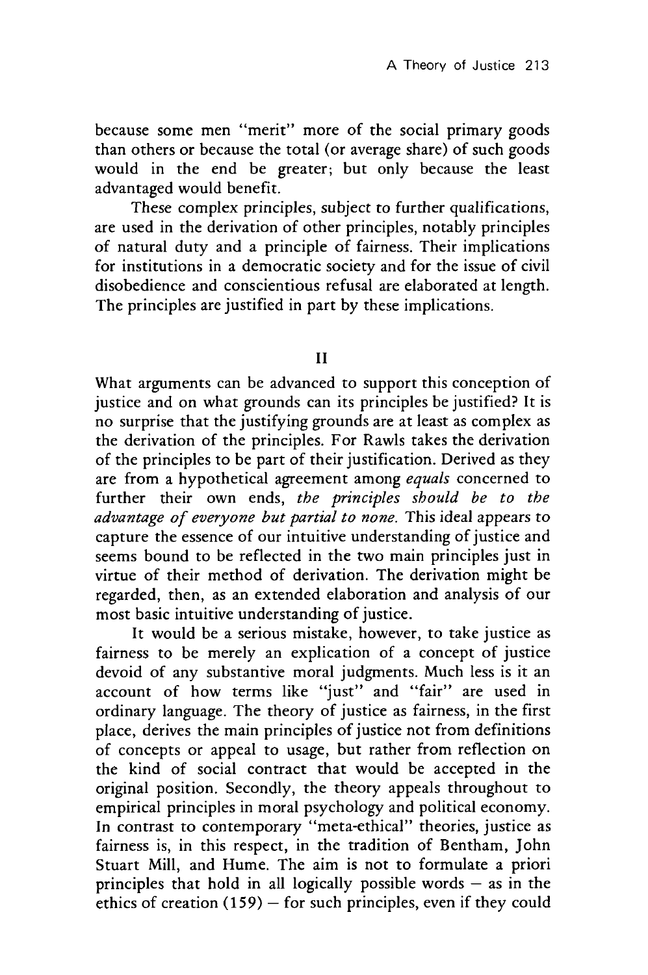because some men "merit" more of the social primary goods than others or because the total (or average share) of such goods would in the end be greater; but only because the least advantaged would benefit.

These complex principles, subject to further qualifications, are used in the derivation of other principles, notably principles of natural duty and a principle of fairness. Their implications for institutions in a democratic society and for the issue of civil disobedience and conscientious refusal are elaborated at length. The principles are justified in part **by** these implications.

**II**

What arguments can be advanced to support this conception of justice and on what grounds can its principles be justified? It is no surprise that the justifying grounds are at least as complex as the derivation of the principles. For Rawls takes the derivation of the principles to be part of their justification. Derived as they are from a hypothetical agreement among *equals* concerned to further their own ends, *the principles should be to the advantage of everyone but partial to none.* This ideal appears to capture the essence of our intuitive understanding of justice and seems bound to be reflected in the two main principles just in virtue of their method of derivation. The derivation might be regarded, then, as an extended elaboration and analysis of our most basic intuitive understanding of justice.

It would be a serious mistake, however, to take justice as fairness to be merely an explication of a concept of justice devoid of any substantive moral judgments. Much less is it an account of how terms like "just" and "fair" are used in ordinary language. The theory of justice as fairness, in the first place, derives the main principles of justice not from definitions of concepts or appeal to usage, but rather from reflection on the kind of social contract that would be accepted in the original position. Secondly, the theory appeals throughout to empirical principles in moral psychology and political economy. In contrast to contemporary "meta-ethical" theories, justice as fairness is, in this respect, in the tradition of Bentham, John Stuart Mill, and Hume. The aim is not to formulate a priori principles that hold in all logically possible words **-** as in the ethics of creation **(159) -** for such principles, even if they could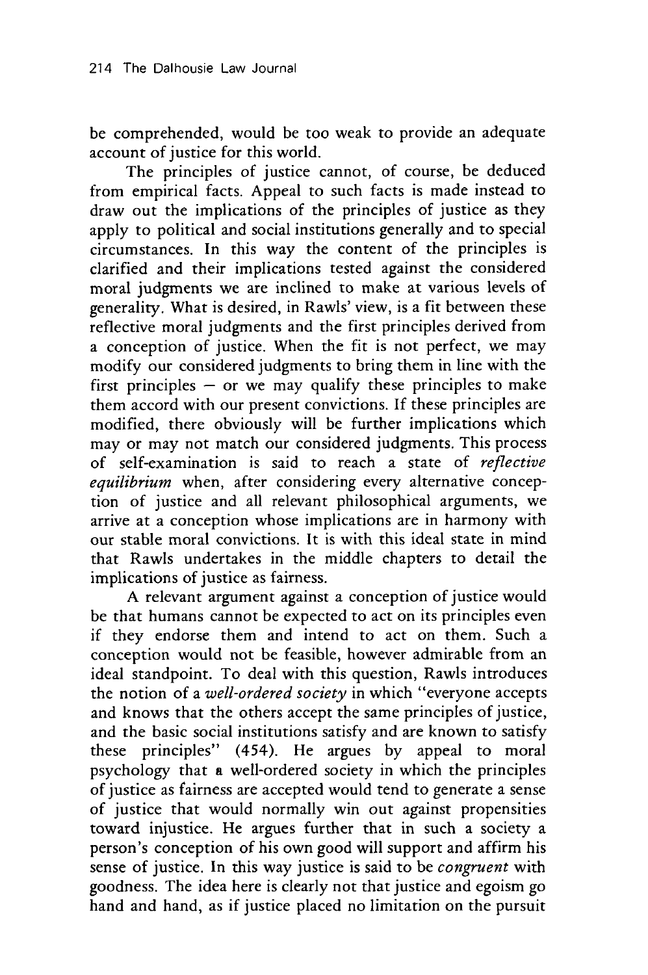be comprehended, would be too weak to provide an adequate account of justice for this world.

The principles of justice cannot, of course, be deduced from empirical facts. Appeal to such facts is made instead to draw out the implications of the principles of justice as they apply to political and social institutions generally and to special circumstances. In this way the content of the principles is clarified and their implications tested against the considered moral judgments we are inclined to make at various levels of generality. What is desired, in Rawls' view, is a fit between these reflective moral judgments and the first principles derived from a conception of justice. When the fit is not perfect, we may modify our considered judgments to bring them in line with the first principles  $-$  or we may qualify these principles to make them accord with our present convictions. If these principles are modified, there obviously will be further implications which may or may not match our considered judgments. This process of self-examination is said to reach a state of *reflective equilibrium* when, after considering every alternative conception of justice and all relevant philosophical arguments, we arrive at a conception whose implications are in harmony with our stable moral convictions. It is with this ideal state in mind that Rawls undertakes in the middle chapters to detail the implications of justice as fairness.

A relevant argument against a conception of justice would be that humans cannot be expected to act on its principles even if they endorse them and intend to act on them. Such a conception would not be feasible, however admirable from an ideal standpoint. To deal with this question, Rawls introduces the notion of a *well-ordered society* in which "everyone accepts and knows that the others accept the same principles of justice, and the basic social institutions satisfy and are known to satisfy these principles" (454). He argues by appeal to moral psychology that a well-ordered society in which the principles of justice as fairness are accepted would tend to generate a sense of justice that would normally win out against propensities toward injustice. He argues further that in such a society a person's conception of his own good will support and affirm his sense of justice. In this way justice is said to be *congruent* with goodness. The idea here is clearly not that justice and egoism go hand and hand, as if justice placed no limitation on the pursuit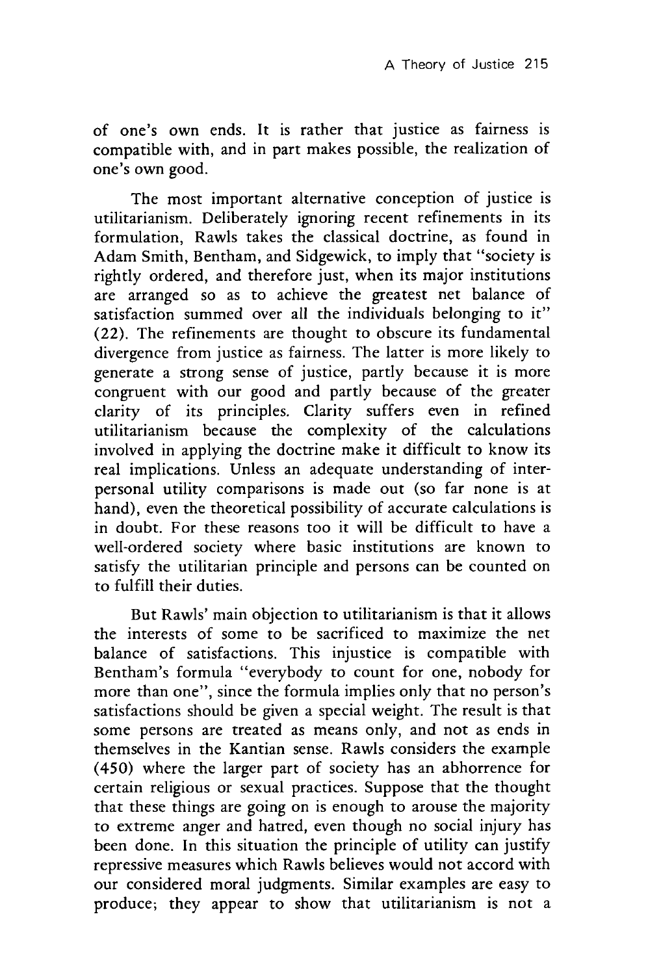of one's own ends. It is rather that justice as fairness is compatible with, and in part makes possible, the realization of one's own good.

The most important alternative conception of justice is utilitarianism. Deliberately ignoring recent refinements in its formulation, Rawls takes the classical doctrine, as found in Adam Smith, Bentham, and Sidgewick, to imply that "society is rightly ordered, and therefore just, when its major institutions are arranged so as to achieve the greatest net balance of satisfaction summed over all the individuals belonging to it" (22). The refinements are thought to obscure its fundamental divergence from justice as fairness. The latter is more likely to generate a strong sense of justice, partly because it is more congruent with our good and partly because of the greater clarity of its principles. Clarity suffers even in refined utilitarianism because the complexity of the calculations involved in applying the doctrine make it difficult to know its real implications. Unless an adequate understanding of interpersonal utility comparisons is made out (so far none is at hand), even the theoretical possibility of accurate calculations is in doubt. For these reasons too it will be difficult to have a well-ordered society where basic institutions are known to satisfy the utilitarian principle and persons can be counted on to fulfill their duties.

But Rawls' main objection to utilitarianism is that it allows the interests of some to be sacrificed to maximize the net balance of satisfactions. This injustice is compatible with Bentham's formula "everybody to count for one, nobody for more than one", since the formula implies only that no person's satisfactions should be given a special weight. The result is that some persons are treated as means only, and not as ends in themselves in the Kantian sense. Rawls considers the example (450) where the larger part of society has an abhorrence for certain religious or sexual practices. Suppose that the thought that these things are going on is enough to arouse the majority to extreme anger and hatred, even though no social injury has been done. In this situation the principle of utility can justify repressive measures which Rawls believes would not accord with our considered moral judgments. Similar examples are easy to produce; they appear to show that utilitarianism is not a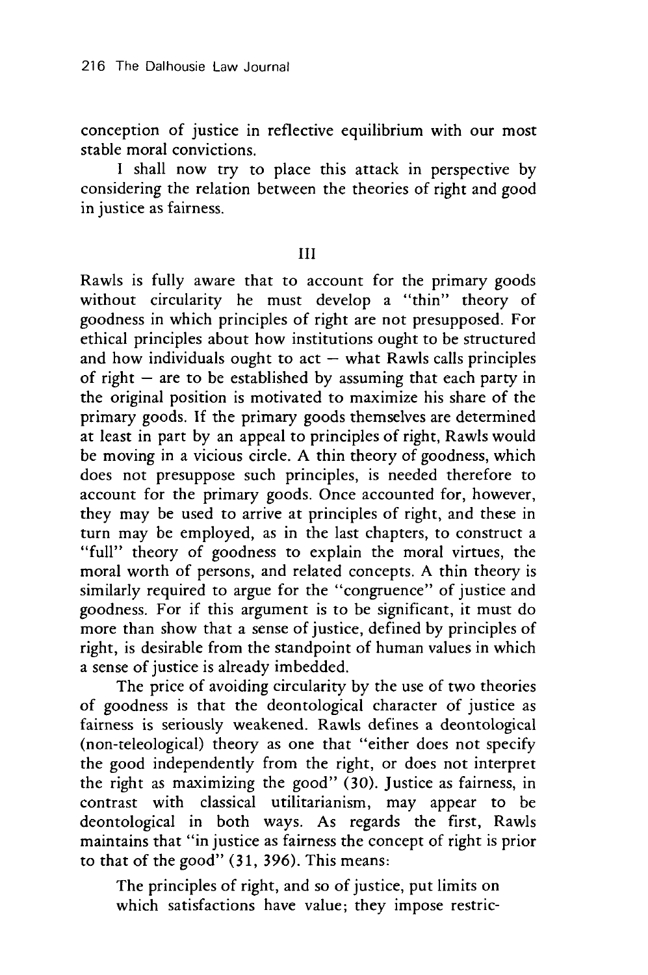conception of justice in reflective equilibrium with our most stable moral convictions.

I shall now try to place this attack in perspective by considering the relation between the theories of right and good in justice as fairness.

III

Rawls is fully aware that to account for the primary goods without circularity he must develop a "thin" theory of goodness in which principles of right are not presupposed. For ethical principles about how institutions ought to be structured and how individuals ought to  $act - what Rawls calls principles$ of right  $-$  are to be established by assuming that each party in the original position is motivated to maximize his share of the primary goods. If the primary goods themselves are determined at least in part by an appeal to principles of right, Rawls would be moving in a vicious circle. A thin theory of goodness, which does not presuppose such principles, is needed therefore to account for the primary goods. Once accounted for, however, they may be used to arrive at principles of right, and these in turn may be employed, as in the last chapters, to construct a "full" theory of goodness to explain the moral virtues, the moral worth of persons, and related concepts. A thin theory is similarly required to argue for the "congruence" of justice and goodness. For if this argument is to be significant, it must do more than show that a sense of justice, defined by principles of right, is desirable from the standpoint of human values in which a sense of justice is already imbedded.

The price of avoiding circularity by the use of two theories of goodness is that the deontological character of justice as fairness is seriously weakened. Rawls defines a deontological (non-teleological) theory as one that "either does not specify the good independently from the right, or does not interpret the right as maximizing the good" (30). Justice as fairness, in contrast with classical utilitarianism, may appear to be deontological in both ways. As regards the first, Rawls maintains that "in justice as fairness the concept of right is prior to that of the good" (31, 396). This means:

The principles of right, and so of justice, put limits on which satisfactions have value; they impose restric-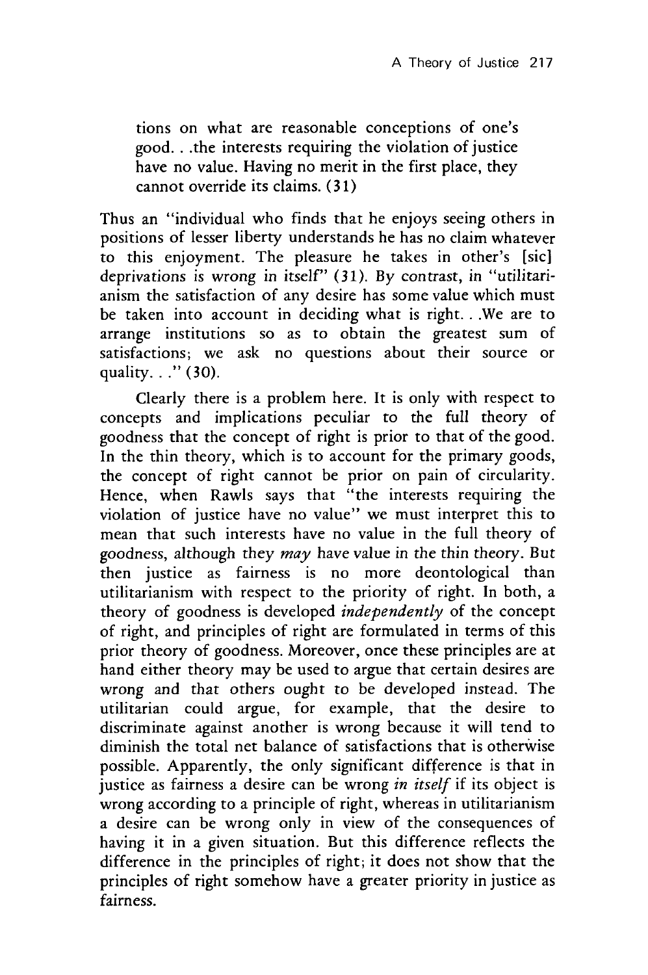tions on what are reasonable conceptions of one's good.. .the interests requiring the violation of justice have no value. Having no merit in the first place, they cannot override its claims. (31)

Thus an "individual who finds that he enjoys seeing others in positions of lesser liberty understands he has no claim whatever to this enjoyment. The pleasure he takes in other's [sic] deprivations is wrong in itself" (31). By contrast, in "utilitarianism the satisfaction of any desire has some value which must be taken into account in deciding what is right... We are to arrange institutions so as to obtain the greatest sum of satisfactions; we ask no questions about their source or quality. . ." (30).

Clearly there is a problem here. It is only with respect to concepts and implications peculiar to the full theory of goodness that the concept of right is prior to that of the good. In the thin theory, which is to account for the primary goods, the concept of right cannot be prior on pain of circularity. Hence, when Rawls says that "the interests requiring the violation of justice have no value" we must interpret this to mean that such interests have no value in the full theory of goodness, although they *may* have value in the thin theory. But then justice as fairness is no more deontological than utilitarianism with respect to the priority of right. In both, a theory of goodness is developed *independently* of the concept of right, and principles of right are formulated in terms of this prior theory of goodness. Moreover, once these principles are at hand either theory may be used to argue that certain desires are wrong and that others ought to be developed instead. The utilitarian could argue, for example, that the desire to discriminate against another is wrong because it will tend to diminish the total net balance of satisfactions that is otherwise possible. Apparently, the only significant difference is that in justice as fairness a desire can be wrong *in itself* if its object is wrong according to a principle of right, whereas in utilitarianism a desire can be wrong only in view of the consequences of having it in a given situation. But this difference reflects the difference in the principles of right; it does not show that the principles of right somehow have a greater priority in justice as fairness.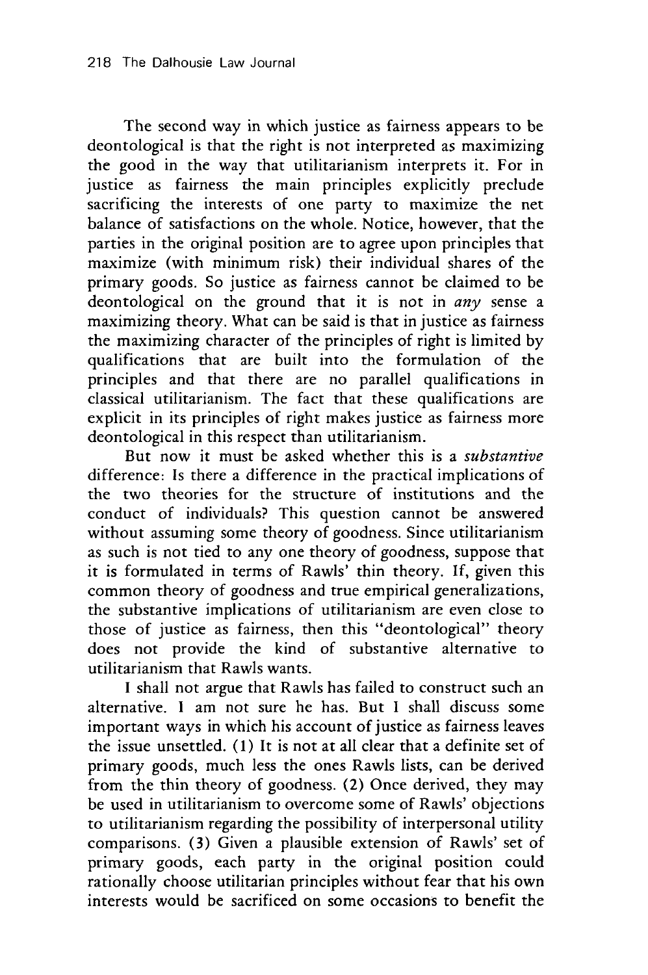The second way in which justice as fairness appears to be deontological is that the right is not interpreted as maximizing the good in the way that utilitarianism interprets it. For in justice as fairness the main principles explicitly preclude sacrificing the interests of one party to maximize the net balance of satisfactions on the whole. Notice, however, that the parties in the original position are to agree upon principles that maximize (with minimum risk) their individual shares of the primary goods. So justice as fairness cannot be claimed to be deontological on the ground that it is not in *any* sense a maximizing theory. What can be said is that in justice as fairness the maximizing character of the principles of right is limited by qualifications that are built into the formulation of the principles and that there are no parallel qualifications in classical utilitarianism. The fact that these qualifications are explicit in its principles of right makes justice as fairness more deontological in this respect than utilitarianism.

But now it must be asked whether this is a *substantive* difference: Is there a difference in the practical implications of the two theories for the structure of institutions and the conduct of individuals? This question cannot be answered without assuming some theory of goodness. Since utilitarianism as such is not tied to any one theory of goodness, suppose that it is formulated in terms of Rawls' thin theory. If, given this common theory of goodness and true empirical generalizations, the substantive implications of utilitarianism are even close to those of justice as fairness, then this "deontological" theory does not provide the kind of substantive alternative to utilitarianism that Rawls wants.

I shall not argue that Rawls has failed to construct such an alternative. I am not sure he has. But I shall discuss some important ways in which his account of justice as fairness leaves the issue unsettled. (1) It is not at all clear that a definite set of primary goods, much less the ones Rawls lists, can be derived from the thin theory of goodness. (2) Once derived, they may be used in utilitarianism to overcome some of Rawls' objections to utilitarianism regarding the possibility of interpersonal utility comparisons. (3) Given a plausible extension of Rawls' set of primary goods, each party in the original position could rationally choose utilitarian principles without fear that his own interests would be sacrificed on some occasions to benefit the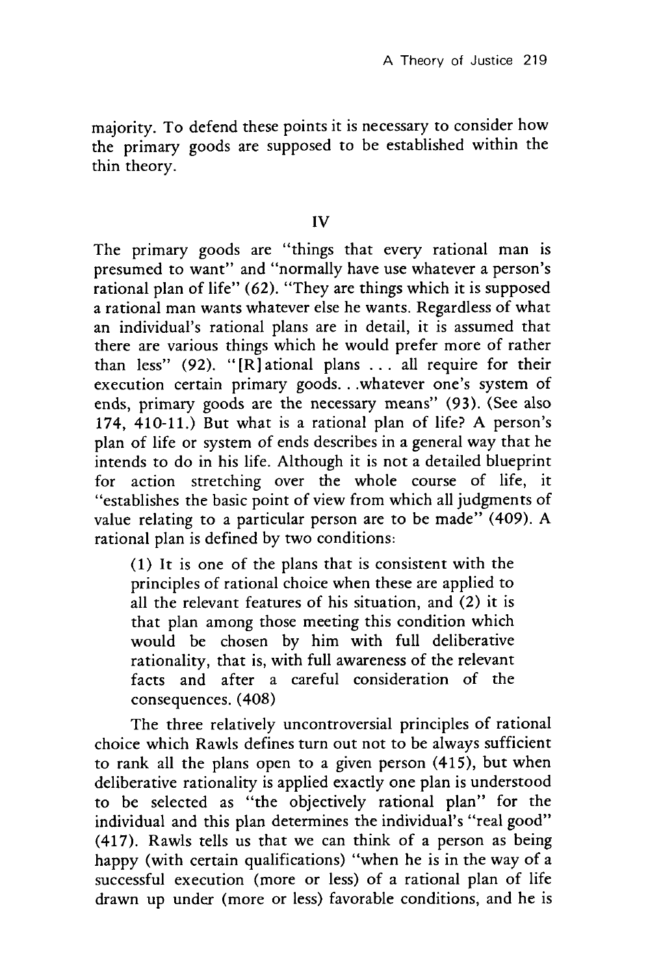majority. To defend these points it is necessary to consider how the primary goods are supposed to be established within the thin theory.

IV

The primary goods are "things that every rational man is presumed to want" and "normally have use whatever a person's rational plan of life" (62). "They are things which it is supposed a rational man wants whatever else he wants. Regardless of what an individual's rational plans are in detail, it is assumed that there are various things which he would prefer more of rather than less" (92). "[R] ational plans . . . all require for their execution certain primary goods... whatever one's system of ends, primary goods are the necessary means" (93). (See also 174, 410-11.) But what is a rational plan of life? A person's plan of life or system of ends describes in a general way that he intends to do in his life. Although it is not a detailed blueprint for action stretching over the whole course of life, it "establishes the basic point of view from which all judgments of value relating to a particular person are to be made" (409). A rational plan is defined by two conditions:

(1) It is one of the plans that is consistent with the principles of rational choice when these are applied to all the relevant features of his situation, and (2) it is that plan among those meeting this condition which would be chosen by him with full deliberative rationality, that is, with full awareness of the relevant facts and after a careful consideration of the consequences. (408)

The three relatively uncontroversial principles of rational choice which Rawls defines turn out not to be always sufficient to rank all the plans open to a given person (415), but when deliberative rationality is applied exactly one plan is understood to be selected as "the objectively rational plan" for the individual and this plan determines the individual's "real good" (417). Rawls tells us that we can think of a person as being happy (with certain qualifications) "when he is in the way of a successful execution (more or less) of a rational plan of life drawn up under (more or less) favorable conditions, and he is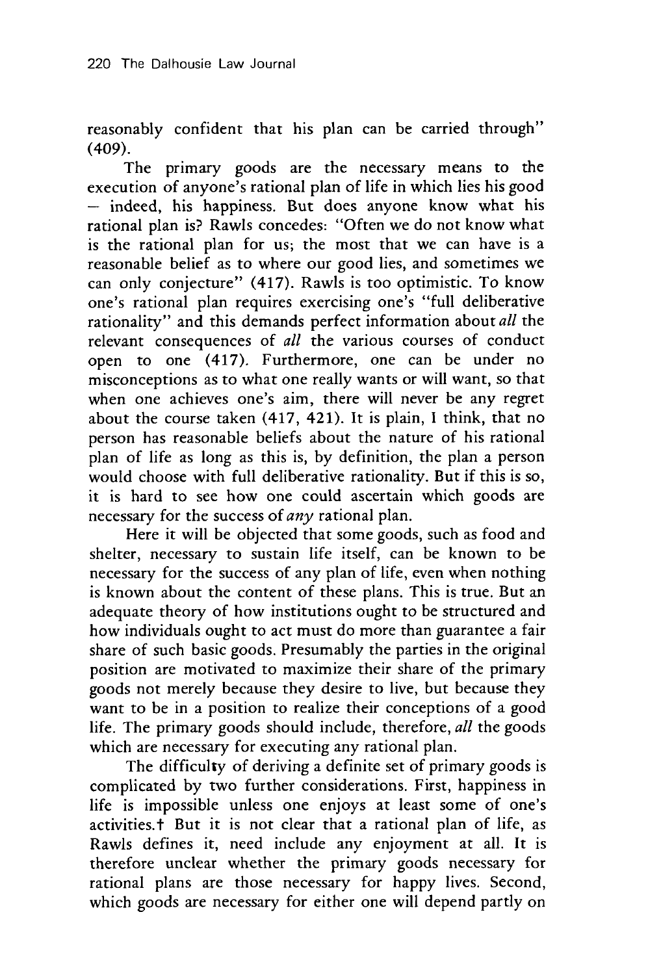reasonably confident that his plan can be carried through" (409).

The primary goods are the necessary means to the execution of anyone's rational plan of life in which lies his good **-** indeed, his happiness. But does anyone know what his rational plan is? Rawls concedes: "Often we do not know what is the rational plan for us; the most that we can have is a reasonable belief as to where our good lies, and sometimes we can only conjecture" (417). Rawls is too optimistic. To know one's rational plan requires exercising one's "full deliberative rationality" and this demands perfect information about *all* the relevant consequences of *all* the various courses of conduct open to one (417). Furthermore, one can be under no misconceptions as to what one really wants or will want, so that when one achieves one's aim, there will never be any regret about the course taken (417, 421). It is plain, I think, that no person has reasonable beliefs about the nature of his rational plan of life as long as this is, by definition, the plan a person would choose with full deliberative rationality. But if this is so, it is hard to see how one could ascertain which goods are necessary for the success of *any* rational plan.

Here it will be objected that some goods, such as food and shelter, necessary to sustain life itself, can be known to be necessary for the success of any plan of life, even when nothing is known about the content of these plans. This is true. But an adequate theory of how institutions ought to be structured and how individuals ought to act must do more than guarantee a fair share of such basic goods. Presumably the parties in the original position are motivated to maximize their share of the primary goods not merely because they desire to live, but because they want to be in a position to realize their conceptions of a good life. The primary goods should include, therefore, *all* the goods which are necessary for executing any rational plan.

The difficulty of deriving a definite set of primary goods is complicated by two further considerations. First, happiness in life is impossible unless one enjoys at least some of one's activities.t But it is not clear that a rational plan of life, as Rawls defines it, need include any enjoyment at all. It is therefore unclear whether the primary goods necessary for rational plans are those necessary for happy lives. Second, which goods are necessary for either one will depend partly on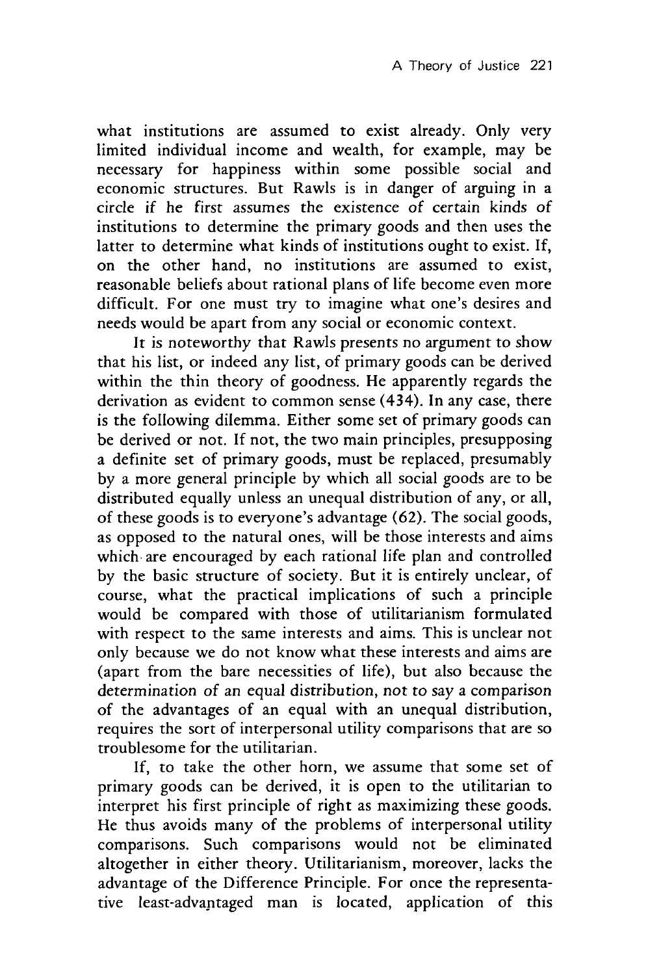what institutions are assumed to exist already. Only very limited individual income and wealth, for example, may be necessary for happiness within some possible social and economic structures. But Rawls is in danger of arguing in a circle if he first assumes the existence of certain kinds of institutions to determine the primary goods and then uses the latter to determine what kinds of institutions ought to exist. If, on the other hand, no institutions are assumed to exist, reasonable beliefs about rational plans of life become even more difficult. For one must try to imagine what one's desires and needs would be apart from any social or economic context.

It is noteworthy that Rawls presents no argument to show that his list, or indeed any list, of primary goods can be derived within the thin theory of goodness. He apparently regards the derivation as evident to common sense (434). In any case, there is the following dilemma. Either some set of primary goods can be derived or not. If not, the two main principles, presupposing a definite set of primary goods, must be replaced, presumably by a more general principle by which all social goods are to be distributed equally unless an unequal distribution of any, or all, of these goods is to everyone's advantage (62). The social goods, as opposed to the natural ones, will be those interests and aims which are encouraged by each rational life plan and controlled by the basic structure of society. But it is entirely unclear, of course, what the practical implications of such a principle would be compared with those of utilitarianism formulated with respect to the same interests and aims. This is unclear not only because we do not know what these interests and aims are (apart from the bare necessities of life), but also because the determination of an equal distribution, not to say a comparison of the advantages of an equal with an unequal distribution, requires the sort of interpersonal utility comparisons that are so troublesome for the utilitarian.

If, to take the other horn, we assume that some set of primary goods can be derived, it is open to the utilitarian to interpret his first principle of right as maximizing these goods. He thus avoids many of the problems of interpersonal utility comparisons. Such comparisons would not be eliminated altogether in either theory. Utilitarianism, moreover, lacks the advantage of the Difference Principle. For once the representative least-advantaged man is located, application of this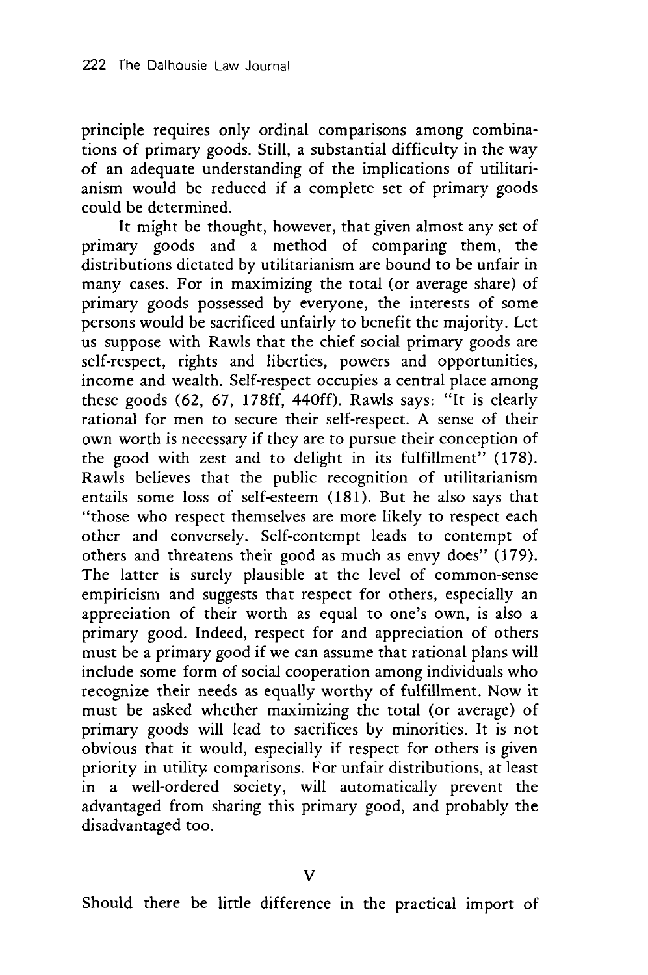principle requires only ordinal comparisons among combinations of primary goods. Still, a substantial difficulty in the way of an adequate understanding of the implications of utilitarianism would be reduced if a complete set of primary goods could be determined.

It might be thought, however, that given almost any set of primary goods and a method of comparing them, the distributions dictated by utilitarianism are bound to be unfair in many cases. For in maximizing the total (or average share) of primary goods possessed by everyone, the interests of some persons would be sacrificed unfairly to benefit the majority. Let us suppose with Rawls that the chief social primary goods are self-respect, rights and liberties, powers and opportunities, income and wealth. Self-respect occupies a central place among these goods (62, 67, 178ff, 440ff). Rawls says: "It is clearly rational for men to secure their self-respect. A sense of their own worth is necessary if they are to pursue their conception of the good with zest and to delight in its fulfillment" (178). Rawls believes that the public recognition of utilitarianism entails some loss of self-esteem (181). But he also says that "those who respect themselves are more likely to respect each other and conversely. Self-contempt leads to contempt of others and threatens their good as much as envy does" (179). The latter is surely plausible at the level of common-sense empiricism and suggests that respect for others, especially an appreciation of their worth as equal to one's own, is also a primary good. Indeed, respect for and appreciation of others must be a primary good if we can assume that rational plans will include some form of social cooperation among individuals who recognize their needs as equally worthy of fulfillment. Now it must be asked whether maximizing the total (or average) of primary goods will lead to sacrifices by minorities. It is not obvious that it would, especially if respect for others is given priority in utility comparisons. For unfair distributions, at least in a well-ordered society, will automatically prevent the advantaged from sharing this primary good, and probably the disadvantaged too.

Should there be little difference in the practical import of